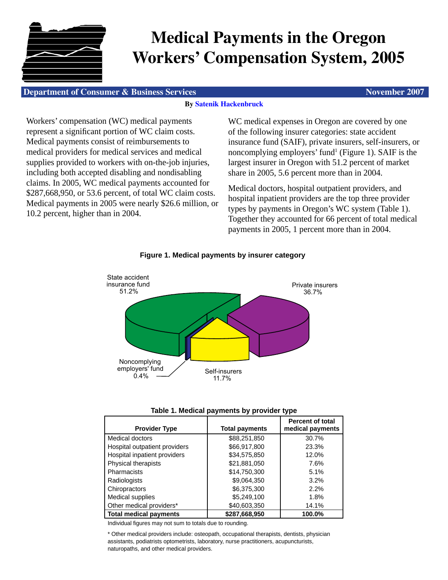

# **Medical Payments in the Oregon Workers' Compensation System, 2005**

#### **Department of Consumer & Business Services November 2007** November 2007

#### **By [Satenik Hackenbruck](mailto:DCBS.Research@state.or.us)**

Workers' compensation (WC) medical payments represent a significant portion of WC claim costs. Medical payments consist of reimbursements to medical providers for medical services and medical supplies provided to workers with on-the-job injuries, including both accepted disabling and nondisabling claims. In 2005, WC medical payments accounted for \$287,668,950, or 53.6 percent, of total WC claim costs. Medical payments in 2005 were nearly \$26.6 million, or 10.2 percent, higher than in 2004.

WC medical expenses in Oregon are covered by one of the following insurer categories: state accident insurance fund (SAIF), private insurers, self-insurers, or noncomplying employers' fund<sup>1</sup> (Figure 1). SAIF is the largest insurer in Oregon with 51.2 percent of market share in 2005, 5.6 percent more than in 2004.

Medical doctors, hospital outpatient providers, and hospital inpatient providers are the top three provider types by payments in Oregon's WC system (Table 1). Together they accounted for 66 percent of total medical payments in 2005, 1 percent more than in 2004.



### **Figure 1. Medical payments by insurer category**

|  | Table 1. Medical payments by provider type |  |  |
|--|--------------------------------------------|--|--|
|  |                                            |  |  |

| <b>Provider Type</b>          | <b>Total payments</b> | <b>Percent of total</b><br>medical payments |
|-------------------------------|-----------------------|---------------------------------------------|
| Medical doctors               | \$88,251,850          | 30.7%                                       |
| Hospital outpatient providers | \$66,917,800          | 23.3%                                       |
| Hospital inpatient providers  | \$34,575,850          | 12.0%                                       |
| Physical therapists           | \$21,881,050          | 7.6%                                        |
| Pharmacists                   | \$14,750,300          | 5.1%                                        |
| Radiologists                  | \$9,064,350           | 3.2%                                        |
| Chiropractors                 | \$6,375,300           | 2.2%                                        |
| <b>Medical supplies</b>       | \$5,249,100           | 1.8%                                        |
| Other medical providers*      | \$40,603,350          | 14.1%                                       |
| <b>Total medical payments</b> | \$287.668.950         | 100.0%                                      |

Individual figures may not sum to totals due to rounding.

\* Other medical providers include: osteopath, occupational therapists, dentists, physician assistants, podiatrists optometrists, laboratory, nurse practitioners, acupuncturists, naturopaths, and other medical providers.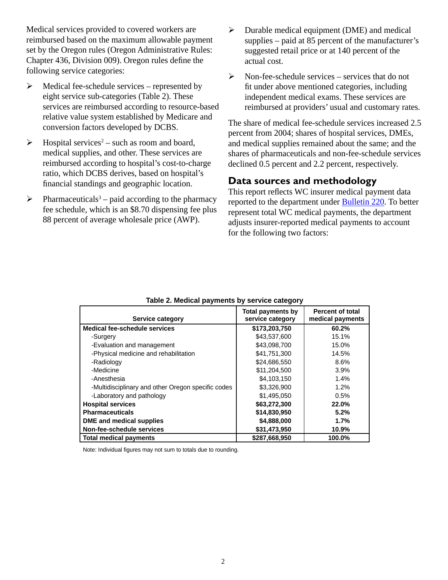Medical services provided to covered workers are reimbursed based on the maximum allowable payment set by the Oregon rules (Oregon Administrative Rules: Chapter 436, Division 009). Oregon rules define the following service categories:

- $\triangleright$  Medical fee-schedule services represented by eight service sub-categories (Table 2). These services are reimbursed according to resource-based relative value system established by Medicare and conversion factors developed by DCBS.
- $\triangleright$  Hospital services<sup>2</sup> such as room and board, medical supplies, and other. These services are reimbursed according to hospital's cost-to-charge ratio, which DCBS derives, based on hospital's financial standings and geographic location.
- $\triangleright$  Pharmaceuticals<sup>3</sup> paid according to the pharmacy fee schedule, which is an \$8.70 dispensing fee plus 88 percent of average wholesale price (AWP).
- $\triangleright$  Durable medical equipment (DME) and medical supplies – paid at 85 percent of the manufacturer's suggested retail price or at 140 percent of the actual cost.
- $\triangleright$  Non-fee-schedule services services that do not fit under above mentioned categories, including independent medical exams. These services are reimbursed at providers' usual and customary rates.

The share of medical fee-schedule services increased 2.5 percent from 2004; shares of hospital services, DMEs, and medical supplies remained about the same; and the shares of pharmaceuticals and non-fee-schedule services declined 0.5 percent and 2.2 percent, respectively.

## **Data sources and methodology**

This report reflects WC insurer medical payment data reported to the department under [Bulletin 220.](http://oregonwcd.org/policy/bulletins/ab_index.html) To better represent total WC medical payments, the department adjusts insurer-reported medical payments to account for the following two factors:

| Service category                                   | <b>Total payments by</b><br>service category | <b>Percent of total</b><br>medical payments |
|----------------------------------------------------|----------------------------------------------|---------------------------------------------|
| Medical fee-schedule services                      | \$173,203,750                                | 60.2%                                       |
| -Surgery                                           | \$43,537,600                                 | 15.1%                                       |
| -Evaluation and management                         | \$43,098,700                                 | 15.0%                                       |
| -Physical medicine and rehabilitation              | \$41,751,300                                 | 14.5%                                       |
| -Radiology                                         | \$24,686,550                                 | 8.6%                                        |
| -Medicine                                          | \$11,204,500                                 | $3.9\%$                                     |
| -Anesthesia                                        | \$4.103.150                                  | 1.4%                                        |
| -Multidisciplinary and other Oregon specific codes | \$3,326,900                                  | 1.2%                                        |
| -Laboratory and pathology                          | \$1,495,050                                  | 0.5%                                        |
| <b>Hospital services</b>                           | \$63,272,300                                 | 22.0%                                       |
| <b>Pharmaceuticals</b>                             | \$14,830,950                                 | 5.2%                                        |
| DME and medical supplies                           | \$4,888,000                                  | 1.7%                                        |
| Non-fee-schedule services                          | \$31,473,950                                 | 10.9%                                       |
| <b>Total medical payments</b>                      | \$287,668,950                                | 100.0%                                      |

**Table 2. Medical payments by service category**

Note: Individual figures may not sum to totals due to rounding.